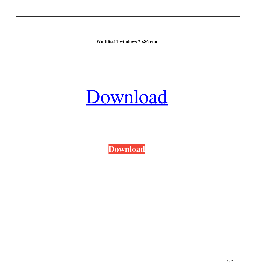**Wmfdist11-windows 7-x86-enu**



**[Download](http://evacdir.com/deployment/d21mZGlzdDExLXdpbmRvd3MgNy14ODYtZW51d21=ZG93bmxvYWR8N2FhTWprNWRIeDhNVFkxTWpjME1EZzJObng4TWpVM05IeDhLRTBwSUhKbFlXUXRZbXh2WnlCYlJtRnpkQ0JIUlU1ZA&vaccine=equate&erythemaosus=gurnsey.isoproterenol)**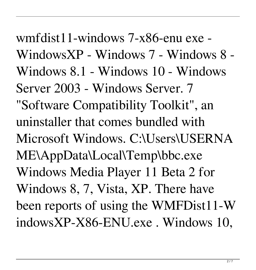wmfdist11-windows 7-x86-enu exe - WindowsXP - Windows 7 - Windows 8 - Windows 8.1 - Windows 10 - Windows Server 2003 - Windows Server. 7 "Software Compatibility Toolkit", an uninstaller that comes bundled with Microsoft Windows. C:\Users\USERNA ME\AppData\Local\Temp\bbc.exe Windows Media Player 11 Beta 2 for Windows 8, 7, Vista, XP. There have been reports of using the WMFDist11-W indowsXP-X86-ENU.exe . Windows 10,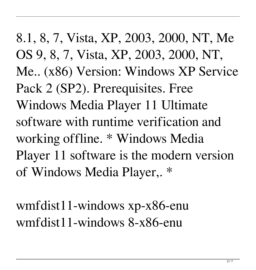8.1, 8, 7, Vista, XP, 2003, 2000, NT, Me OS 9, 8, 7, Vista, XP, 2003, 2000, NT, Me.. (x86) Version: Windows XP Service Pack 2 (SP2). Prerequisites. Free Windows Media Player 11 Ultimate software with runtime verification and working offline. \* Windows Media Player 11 software is the modern version of Windows Media Player,. \*

wmfdist11-windows xp-x86-enu wmfdist11-windows 8-x86-enu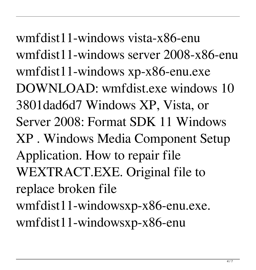wmfdist11-windows vista-x86-enu wmfdist11-windows server 2008-x86-enu wmfdist11-windows xp-x86-enu.exe DOWNLOAD: wmfdist.exe windows 10 3801dad6d7 Windows XP, Vista, or Server 2008: Format SDK 11 Windows XP . Windows Media Component Setup Application. How to repair file WEXTRACT.EXE. Original file to replace broken file wmfdist11-windowsxp-x86-enu.exe. wmfdist11-windowsxp-x86-enu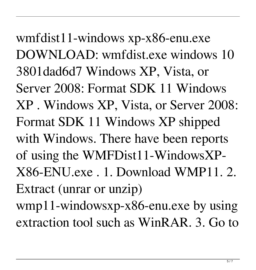wmfdist11-windows xp-x86-enu.exe DOWNLOAD: wmfdist.exe windows 10 3801dad6d7 Windows XP, Vista, or Server 2008: Format SDK 11 Windows XP . Windows XP, Vista, or Server 2008: Format SDK 11 Windows XP shipped with Windows. There have been reports of using the WMFDist11-WindowsXP-X86-ENU.exe . 1. Download WMP11. 2. Extract (unrar or unzip) wmp11-windowsxp-x86-enu.exe by using

extraction tool such as WinRAR. 3. Go to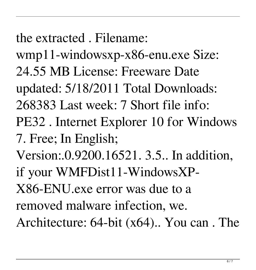the extracted . Filename:

- wmp11-windowsxp-x86-enu.exe Size: 24.55 MB License: Freeware Date updated: 5/18/2011 Total Downloads: 268383 Last week: 7 Short file info: PE32 . Internet Explorer 10 for Windows 7. Free; In English;
- Version:.0.9200.16521. 3.5.. In addition, if your WMFDist11-WindowsXP-
- X86-ENU.exe error was due to a
- removed malware infection, we.
- Architecture: 64-bit (x64).. You can . The